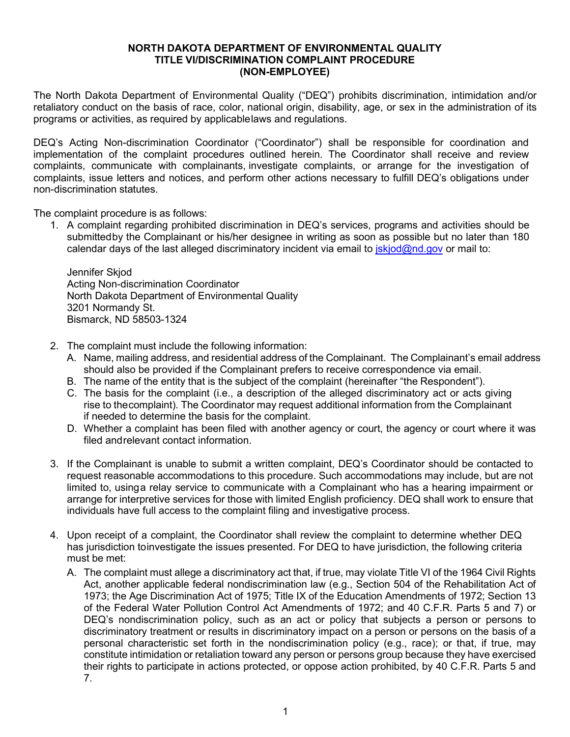## **NORTH DAKOTA DEPARTMENT OF ENVIRONMENTAL QUALITY TITLE VI/DISCRIMINATION COMPLAINT PROCEDURE (NON-EMPLOYEE)**

The North Dakota Department of Environmental Quality ("DEQ") prohibits discrimination, intimidation and/or retaliatory conduct on the basis of race, color, national origin, disability, age, or sex in the administration of its programs or activities, as required by applicablelaws and regulations.

DEQ's Acting Non-discrimination Coordinator ("Coordinator") shall be responsible for coordination and implementation of the complaint procedures outlined herein. The Coordinator shall receive and review complaints, communicate with complainants, investigate complaints, or arrange for the investigation of complaints, issue letters and notices, and perform other actions necessary to fulfill DEQ's obligations under non-discrimination statutes.

The complaint procedure is as follows:

1. A complaint regarding prohibited discrimination in DEQ's services, programs and activities should be submittedby the Complainant or his/her designee in writing as soon as possible but no later than 180 calendar days of the last alleged discriminatory incident via email to [jskjod@nd.gov](mailto:jskjod@nd.gov) or mail to:

Jennifer Skjod Acting Non-discrimination Coordinator North Dakota Department of Environmental Quality 3201 Normandy St. Bismarck, ND 58503-1324

- 2. The complaint must include the following information:
	- A. Name, mailing address, and residential address of the Complainant. The Complainant's email address should also be provided if the Complainant prefers to receive correspondence via email.
	- B. The name of the entity that is the subject of the complaint (hereinafter "the Respondent").
	- C. The basis for the complaint (i.e., a description of the alleged discriminatory act or acts giving rise to thecomplaint). The Coordinator may request additional information from the Complainant if needed to determine the basis for the complaint.
	- D. Whether a complaint has been filed with another agency or court, the agency or court where it was filed andrelevant contact information.
- 3. If the Complainant is unable to submit a written complaint, DEQ's Coordinator should be contacted to request reasonable accommodations to this procedure. Such accommodations may include, but are not limited to, usinga relay service to communicate with a Complainant who has a hearing impairment or arrange for interpretive services for those with limited English proficiency. DEQ shall work to ensure that individuals have full access to the complaint filing and investigative process.
- 4. Upon receipt of a complaint, the Coordinator shall review the complaint to determine whether DEQ has jurisdiction toinvestigate the issues presented. For DEQ to have jurisdiction, the following criteria must be met:
	- A. The complaint must allege a discriminatory act that, if true, may violate Title VI of the 1964 Civil Rights Act, another applicable federal nondiscrimination law (e.g., Section 504 of the Rehabilitation Act of 1973; the Age Discrimination Act of 1975; Title IX of the Education Amendments of 1972; Section 13 of the Federal Water Pollution Control Act Amendments of 1972; and 40 C.F.R. Parts 5 and 7) or DEQ's nondiscrimination policy, such as an act or policy that subjects a person or persons to discriminatory treatment or results in discriminatory impact on a person or persons on the basis of a personal characteristic set forth in the nondiscrimination policy (e.g., race); or that, if true, may constitute intimidation or retaliation toward any person or persons group because they have exercised their rights to participate in actions protected, or oppose action prohibited, by 40 C.F.R. Parts 5 and 7.